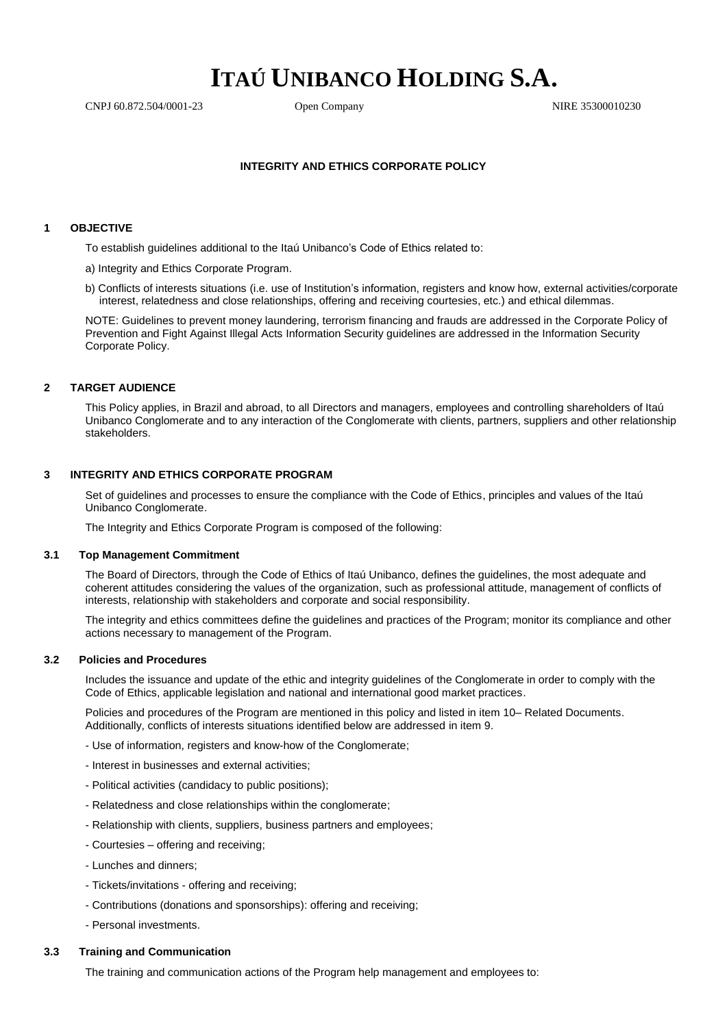# **ITAÚ UNIBANCO HOLDING S.A.**

CNPJ 60.872.504/0001-23 Open Company NIRE 35300010230

## **INTEGRITY AND ETHICS CORPORATE POLICY**

## **1 OBJECTIVE**

To establish guidelines additional to the Itaú Unibanco's Code of Ethics related to:

a) Integrity and Ethics Corporate Program.

b) Conflicts of interests situations (i.e. use of Institution's information, registers and know how, external activities/corporate interest, relatedness and close relationships, offering and receiving courtesies, etc.) and ethical dilemmas.

NOTE: Guidelines to prevent money laundering, terrorism financing and frauds are addressed in the Corporate Policy of Prevention and Fight Against Illegal Acts Information Security guidelines are addressed in the Information Security Corporate Policy.

## **2 TARGET AUDIENCE**

This Policy applies, in Brazil and abroad, to all Directors and managers, employees and controlling shareholders of Itaú Unibanco Conglomerate and to any interaction of the Conglomerate with clients, partners, suppliers and other relationship stakeholders.

## **3 INTEGRITY AND ETHICS CORPORATE PROGRAM**

Set of guidelines and processes to ensure the compliance with the Code of Ethics, principles and values of the Itaú Unibanco Conglomerate.

The Integrity and Ethics Corporate Program is composed of the following:

## **3.1 Top Management Commitment**

The Board of Directors, through the Code of Ethics of Itaú Unibanco, defines the guidelines, the most adequate and coherent attitudes considering the values of the organization, such as professional attitude, management of conflicts of interests, relationship with stakeholders and corporate and social responsibility.

The integrity and ethics committees define the guidelines and practices of the Program; monitor its compliance and other actions necessary to management of the Program.

## **3.2 Policies and Procedures**

Includes the issuance and update of the ethic and integrity guidelines of the Conglomerate in order to comply with the Code of Ethics, applicable legislation and national and international good market practices.

Policies and procedures of the Program are mentioned in this policy and listed in item 10– Related Documents. Additionally, conflicts of interests situations identified below are addressed in item 9.

- Use of information, registers and know-how of the Conglomerate;
- Interest in businesses and external activities;
- Political activities (candidacy to public positions);
- Relatedness and close relationships within the conglomerate;
- Relationship with clients, suppliers, business partners and employees;
- Courtesies offering and receiving;
- Lunches and dinners;
- Tickets/invitations offering and receiving;
- Contributions (donations and sponsorships): offering and receiving;
- Personal investments.

#### **3.3 Training and Communication**

The training and communication actions of the Program help management and employees to: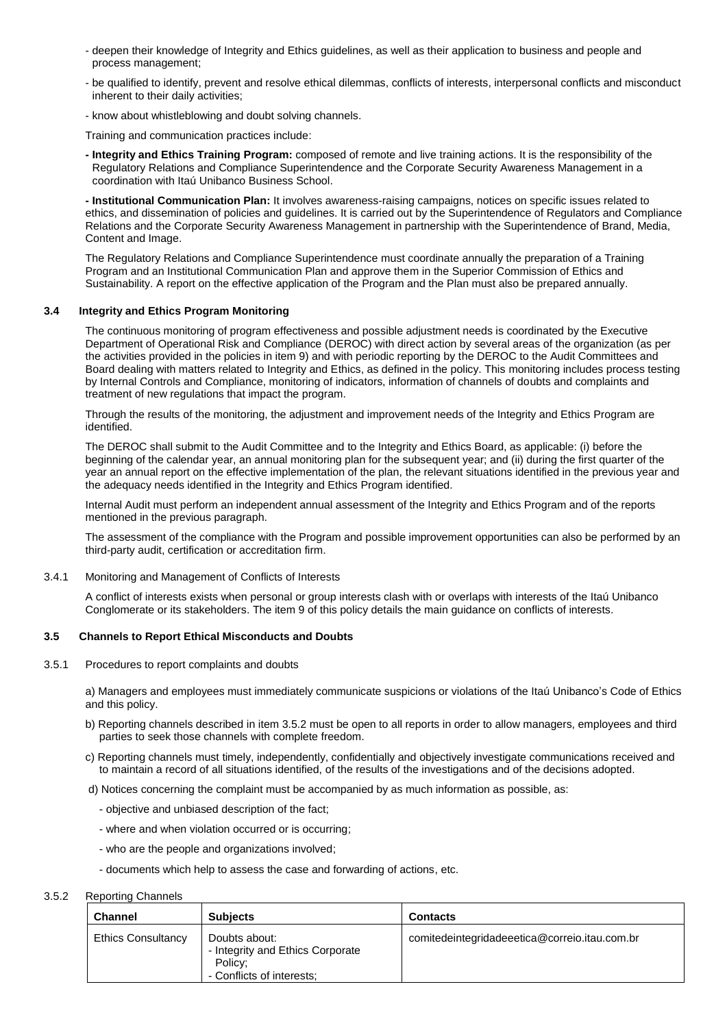- deepen their knowledge of Integrity and Ethics guidelines, as well as their application to business and people and process management;
- be qualified to identify, prevent and resolve ethical dilemmas, conflicts of interests, interpersonal conflicts and misconduct inherent to their daily activities;
- know about whistleblowing and doubt solving channels.

Training and communication practices include:

**- Integrity and Ethics Training Program:** composed of remote and live training actions. It is the responsibility of the Regulatory Relations and Compliance Superintendence and the Corporate Security Awareness Management in a coordination with Itaú Unibanco Business School.

**- Institutional Communication Plan:** It involves awareness-raising campaigns, notices on specific issues related to ethics, and dissemination of policies and guidelines. It is carried out by the Superintendence of Regulators and Compliance Relations and the Corporate Security Awareness Management in partnership with the Superintendence of Brand, Media, Content and Image.

The Regulatory Relations and Compliance Superintendence must coordinate annually the preparation of a Training Program and an Institutional Communication Plan and approve them in the Superior Commission of Ethics and Sustainability. A report on the effective application of the Program and the Plan must also be prepared annually.

## **3.4 Integrity and Ethics Program Monitoring**

The continuous monitoring of program effectiveness and possible adjustment needs is coordinated by the Executive Department of Operational Risk and Compliance (DEROC) with direct action by several areas of the organization (as per the activities provided in the policies in item 9) and with periodic reporting by the DEROC to the Audit Committees and Board dealing with matters related to Integrity and Ethics, as defined in the policy. This monitoring includes process testing by Internal Controls and Compliance, monitoring of indicators, information of channels of doubts and complaints and treatment of new regulations that impact the program.

Through the results of the monitoring, the adjustment and improvement needs of the Integrity and Ethics Program are identified.

The DEROC shall submit to the Audit Committee and to the Integrity and Ethics Board, as applicable: (i) before the beginning of the calendar year, an annual monitoring plan for the subsequent year; and (ii) during the first quarter of the year an annual report on the effective implementation of the plan, the relevant situations identified in the previous year and the adequacy needs identified in the Integrity and Ethics Program identified.

Internal Audit must perform an independent annual assessment of the Integrity and Ethics Program and of the reports mentioned in the previous paragraph.

The assessment of the compliance with the Program and possible improvement opportunities can also be performed by an third-party audit, certification or accreditation firm.

#### 3.4.1 Monitoring and Management of Conflicts of Interests

A conflict of interests exists when personal or group interests clash with or overlaps with interests of the Itaú Unibanco Conglomerate or its stakeholders. The item 9 of this policy details the main guidance on conflicts of interests.

#### **3.5 Channels to Report Ethical Misconducts and Doubts**

3.5.1 Procedures to report complaints and doubts

a) Managers and employees must immediately communicate suspicions or violations of the Itaú Unibanco's Code of Ethics and this policy.

- b) Reporting channels described in item 3.5.2 must be open to all reports in order to allow managers, employees and third parties to seek those channels with complete freedom.
- c) Reporting channels must timely, independently, confidentially and objectively investigate communications received and to maintain a record of all situations identified, of the results of the investigations and of the decisions adopted.
- d) Notices concerning the complaint must be accompanied by as much information as possible, as:
	- objective and unbiased description of the fact;
	- where and when violation occurred or is occurring;
	- who are the people and organizations involved;
	- documents which help to assess the case and forwarding of actions, etc.

#### 3.5.2 Reporting Channels

| <b>Channel</b>            | <b>Subjects</b>                                                                           | <b>Contacts</b>                               |
|---------------------------|-------------------------------------------------------------------------------------------|-----------------------------------------------|
| <b>Ethics Consultancy</b> | Doubts about:<br>- Integrity and Ethics Corporate<br>Policy;<br>- Conflicts of interests: | comitedeintegridadeeetica@correio.itau.com.br |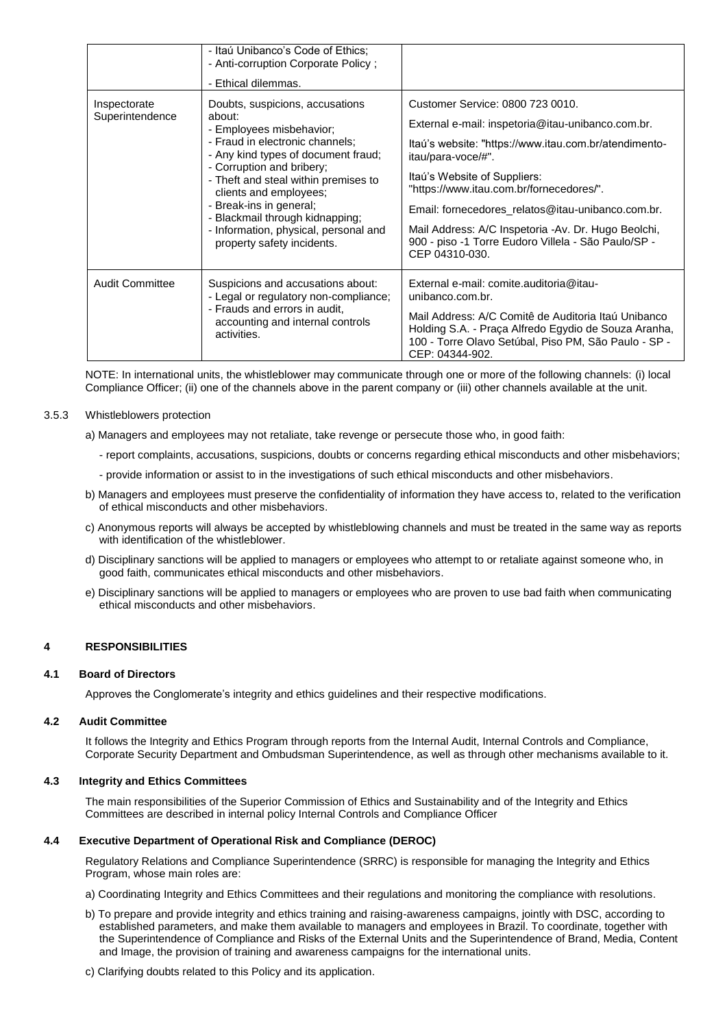|                                 | - Itaú Unibanco's Code of Ethics;<br>- Anti-corruption Corporate Policy;<br>- Ethical dilemmas.                                                                                                                                                                                                                                                                                     |                                                                                                                                                                                                                                                                                                                                                                                                                                       |
|---------------------------------|-------------------------------------------------------------------------------------------------------------------------------------------------------------------------------------------------------------------------------------------------------------------------------------------------------------------------------------------------------------------------------------|---------------------------------------------------------------------------------------------------------------------------------------------------------------------------------------------------------------------------------------------------------------------------------------------------------------------------------------------------------------------------------------------------------------------------------------|
| Inspectorate<br>Superintendence | Doubts, suspicions, accusations<br>about:<br>- Employees misbehavior;<br>- Fraud in electronic channels;<br>- Any kind types of document fraud;<br>- Corruption and bribery;<br>- Theft and steal within premises to<br>clients and employees;<br>- Break-ins in general;<br>- Blackmail through kidnapping;<br>- Information, physical, personal and<br>property safety incidents. | Customer Service: 0800 723 0010.<br>External e-mail: inspetoria@itau-unibanco.com.br.<br>Itaú's website: "https://www.itau.com.br/atendimento-<br>itau/para-voce/#".<br>Itaú's Website of Suppliers:<br>"https://www.itau.com.br/fornecedores/".<br>Email: fornecedores_relatos@itau-unibanco.com.br.<br>Mail Address: A/C Inspetoria -Av. Dr. Hugo Beolchi,<br>900 - piso -1 Torre Eudoro Villela - São Paulo/SP -<br>CEP 04310-030. |
| Audit Committee                 | Suspicions and accusations about:<br>- Legal or regulatory non-compliance;<br>- Frauds and errors in audit,<br>accounting and internal controls<br>activities.                                                                                                                                                                                                                      | External e-mail: comite.auditoria@itau-<br>unibanco.com.br.<br>Mail Address: A/C Comitê de Auditoria Itaú Unibanco<br>Holding S.A. - Praça Alfredo Egydio de Souza Aranha,<br>100 - Torre Olavo Setúbal, Piso PM, São Paulo - SP -<br>CEP: 04344-902.                                                                                                                                                                                 |

NOTE: In international units, the whistleblower may communicate through one or more of the following channels: (i) local Compliance Officer; (ii) one of the channels above in the parent company or (iii) other channels available at the unit.

## 3.5.3 Whistleblowers protection

- a) Managers and employees may not retaliate, take revenge or persecute those who, in good faith:
	- report complaints, accusations, suspicions, doubts or concerns regarding ethical misconducts and other misbehaviors;
	- provide information or assist to in the investigations of such ethical misconducts and other misbehaviors.
- b) Managers and employees must preserve the confidentiality of information they have access to, related to the verification of ethical misconducts and other misbehaviors.
- c) Anonymous reports will always be accepted by whistleblowing channels and must be treated in the same way as reports with identification of the whistleblower.
- d) Disciplinary sanctions will be applied to managers or employees who attempt to or retaliate against someone who, in good faith, communicates ethical misconducts and other misbehaviors.
- e) Disciplinary sanctions will be applied to managers or employees who are proven to use bad faith when communicating ethical misconducts and other misbehaviors.

## **4 RESPONSIBILITIES**

#### **4.1 Board of Directors**

Approves the Conglomerate's integrity and ethics guidelines and their respective modifications.

#### **4.2 Audit Committee**

It follows the Integrity and Ethics Program through reports from the Internal Audit, Internal Controls and Compliance, Corporate Security Department and Ombudsman Superintendence, as well as through other mechanisms available to it.

#### **4.3 Integrity and Ethics Committees**

The main responsibilities of the Superior Commission of Ethics and Sustainability and of the Integrity and Ethics Committees are described in internal policy Internal Controls and Compliance Officer

#### **4.4 Executive Department of Operational Risk and Compliance (DEROC)**

Regulatory Relations and Compliance Superintendence (SRRC) is responsible for managing the Integrity and Ethics Program, whose main roles are:

- a) Coordinating Integrity and Ethics Committees and their regulations and monitoring the compliance with resolutions.
- b) To prepare and provide integrity and ethics training and raising-awareness campaigns, jointly with DSC, according to established parameters, and make them available to managers and employees in Brazil. To coordinate, together with the Superintendence of Compliance and Risks of the External Units and the Superintendence of Brand, Media, Content and Image, the provision of training and awareness campaigns for the international units.
- c) Clarifying doubts related to this Policy and its application.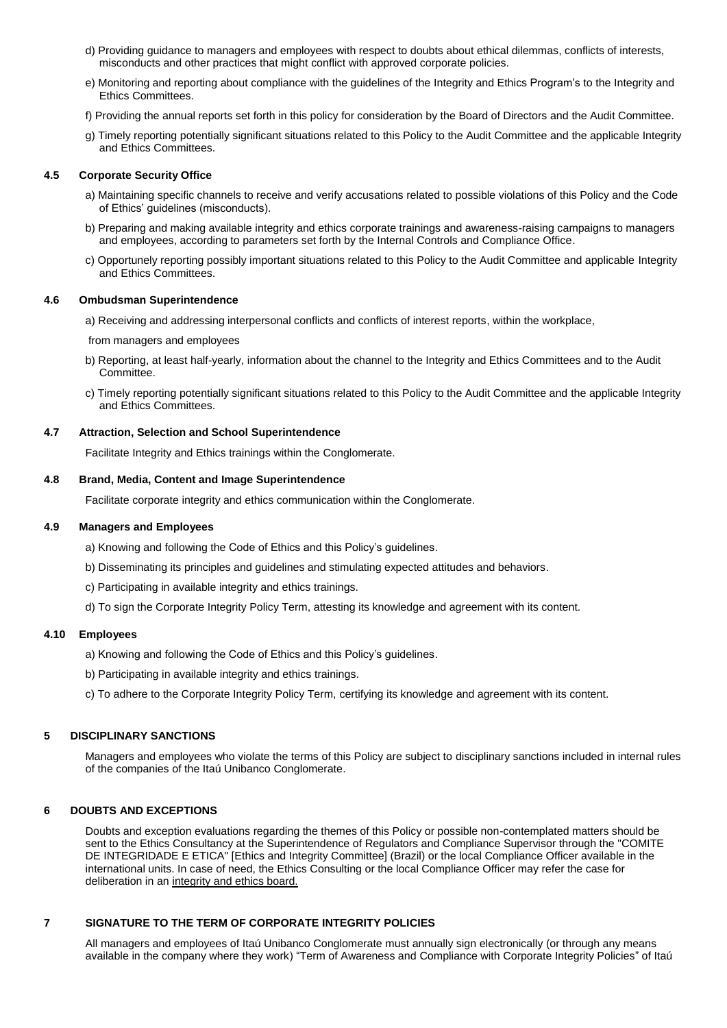- d) Providing guidance to managers and employees with respect to doubts about ethical dilemmas, conflicts of interests, misconducts and other practices that might conflict with approved corporate policies.
- e) Monitoring and reporting about compliance with the guidelines of the Integrity and Ethics Program's to the Integrity and Ethics Committees.
- f) Providing the annual reports set forth in this policy for consideration by the Board of Directors and the Audit Committee.
- g) Timely reporting potentially significant situations related to this Policy to the Audit Committee and the applicable Integrity and Ethics Committees.

#### **4.5 Corporate Security Office**

- a) Maintaining specific channels to receive and verify accusations related to possible violations of this Policy and the Code of Ethics' guidelines (misconducts).
- b) Preparing and making available integrity and ethics corporate trainings and awareness-raising campaigns to managers and employees, according to parameters set forth by the Internal Controls and Compliance Office.
- c) Opportunely reporting possibly important situations related to this Policy to the Audit Committee and applicable Integrity and Ethics Committees.

#### **4.6 Ombudsman Superintendence**

a) Receiving and addressing interpersonal conflicts and conflicts of interest reports, within the workplace,

from managers and employees

- b) Reporting, at least half-yearly, information about the channel to the Integrity and Ethics Committees and to the Audit Committee.
- c) Timely reporting potentially significant situations related to this Policy to the Audit Committee and the applicable Integrity and Ethics Committees.

#### **4.7 Attraction, Selection and School Superintendence**

Facilitate Integrity and Ethics trainings within the Conglomerate.

## **4.8 Brand, Media, Content and Image Superintendence**

Facilitate corporate integrity and ethics communication within the Conglomerate.

## **4.9 Managers and Employees**

- a) Knowing and following the Code of Ethics and this Policy's guidelines.
- b) Disseminating its principles and guidelines and stimulating expected attitudes and behaviors.
- c) Participating in available integrity and ethics trainings.
- d) To sign the Corporate Integrity Policy Term, attesting its knowledge and agreement with its content.

## **4.10 Employees**

- a) Knowing and following the Code of Ethics and this Policy's guidelines.
- b) Participating in available integrity and ethics trainings.
- c) To adhere to the Corporate Integrity Policy Term, certifying its knowledge and agreement with its content.

## **5 DISCIPLINARY SANCTIONS**

Managers and employees who violate the terms of this Policy are subject to disciplinary sanctions included in internal rules of the companies of the Itaú Unibanco Conglomerate.

## **6 DOUBTS AND EXCEPTIONS**

Doubts and exception evaluations regarding the themes of this Policy or possible non-contemplated matters should be sent to the Ethics Consultancy at the Superintendence of Regulators and Compliance Supervisor through the "COMITE DE INTEGRIDADE E ETICA" [Ethics and Integrity Committee] (Brazil) or the local Compliance Officer available in the international units. In case of need, the Ethics Consulting or the local Compliance Officer may refer the case for deliberation in an integrity and ethics board.

## **7 SIGNATURE TO THE TERM OF CORPORATE INTEGRITY POLICIES**

All managers and employees of Itaú Unibanco Conglomerate must annually sign electronically (or through any means available in the company where they work) "Term of Awareness and Compliance with Corporate Integrity Policies" of Itaú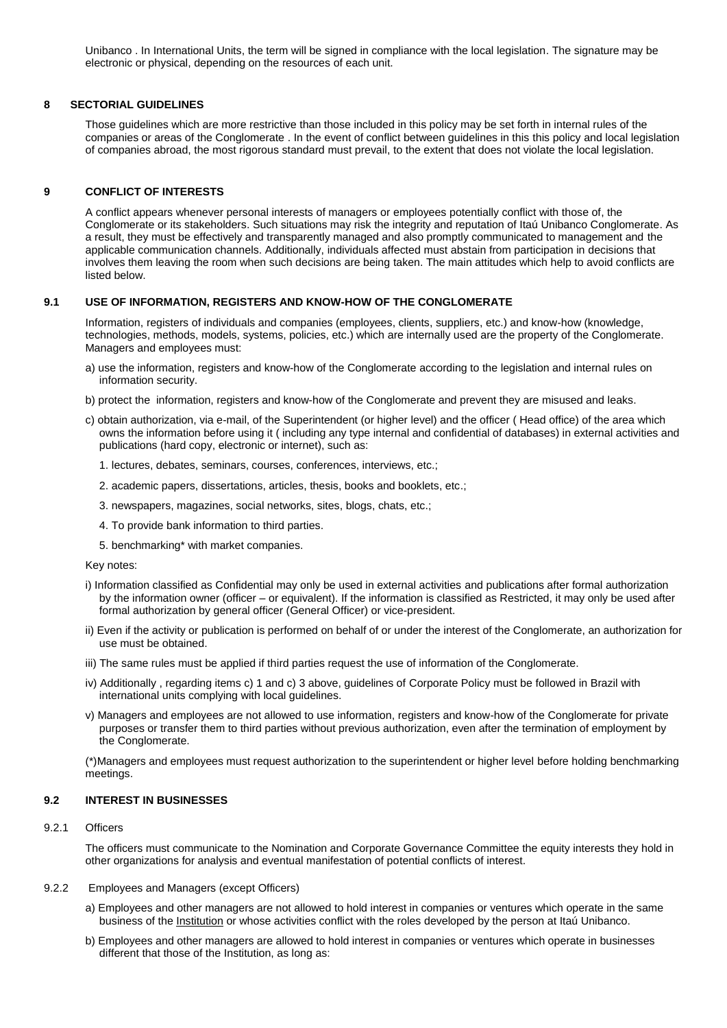Unibanco . In International Units, the term will be signed in compliance with the local legislation. The signature may be electronic or physical, depending on the resources of each unit.

## **8 SECTORIAL GUIDELINES**

Those guidelines which are more restrictive than those included in this policy may be set forth in internal rules of the companies or areas of the Conglomerate . In the event of conflict between guidelines in this this policy and local legislation of companies abroad, the most rigorous standard must prevail, to the extent that does not violate the local legislation.

## **9 CONFLICT OF INTERESTS**

A conflict appears whenever personal interests of managers or employees potentially conflict with those of, the Conglomerate or its stakeholders. Such situations may risk the integrity and reputation of Itaú Unibanco Conglomerate. As a result, they must be effectively and transparently managed and also promptly communicated to management and the applicable communication channels. Additionally, individuals affected must abstain from participation in decisions that involves them leaving the room when such decisions are being taken. The main attitudes which help to avoid conflicts are listed below.

## **9.1 USE OF INFORMATION, REGISTERS AND KNOW-HOW OF THE CONGLOMERATE**

Information, registers of individuals and companies (employees, clients, suppliers, etc.) and know-how (knowledge, technologies, methods, models, systems, policies, etc.) which are internally used are the property of the Conglomerate. Managers and employees must:

- a) use the information, registers and know-how of the Conglomerate according to the legislation and internal rules on information security.
- b) protect the information, registers and know-how of the Conglomerate and prevent they are misused and leaks.
- c) obtain authorization, via e-mail, of the Superintendent (or higher level) and the officer ( Head office) of the area which owns the information before using it ( including any type internal and confidential of databases) in external activities and publications (hard copy, electronic or internet), such as:
	- 1. lectures, debates, seminars, courses, conferences, interviews, etc.;
	- 2. academic papers, dissertations, articles, thesis, books and booklets, etc.;
	- 3. newspapers, magazines, social networks, sites, blogs, chats, etc.;
	- 4. To provide bank information to third parties.
	- 5. benchmarking\* with market companies.

#### Key notes:

- i) Information classified as Confidential may only be used in external activities and publications after formal authorization by the information owner (officer – or equivalent). If the information is classified as Restricted, it may only be used after formal authorization by general officer (General Officer) or vice-president.
- ii) Even if the activity or publication is performed on behalf of or under the interest of the Conglomerate, an authorization for use must be obtained.
- iii) The same rules must be applied if third parties request the use of information of the Conglomerate.
- iv) Additionally , regarding items c) 1 and c) 3 above, guidelines of Corporate Policy must be followed in Brazil with international units complying with local guidelines.
- v) Managers and employees are not allowed to use information, registers and know-how of the Conglomerate for private purposes or transfer them to third parties without previous authorization, even after the termination of employment by the Conglomerate.

(\*)Managers and employees must request authorization to the superintendent or higher level before holding benchmarking meetings.

## **9.2 INTEREST IN BUSINESSES**

## 9.2.1 Officers

The officers must communicate to the Nomination and Corporate Governance Committee the equity interests they hold in other organizations for analysis and eventual manifestation of potential conflicts of interest.

#### 9.2.2 Employees and Managers (except Officers)

- a) Employees and other managers are not allowed to hold interest in companies or ventures which operate in the same business of the Institution or whose activities conflict with the roles developed by the person at Itaú Unibanco.
- b) Employees and other managers are allowed to hold interest in companies or ventures which operate in businesses different that those of the Institution, as long as: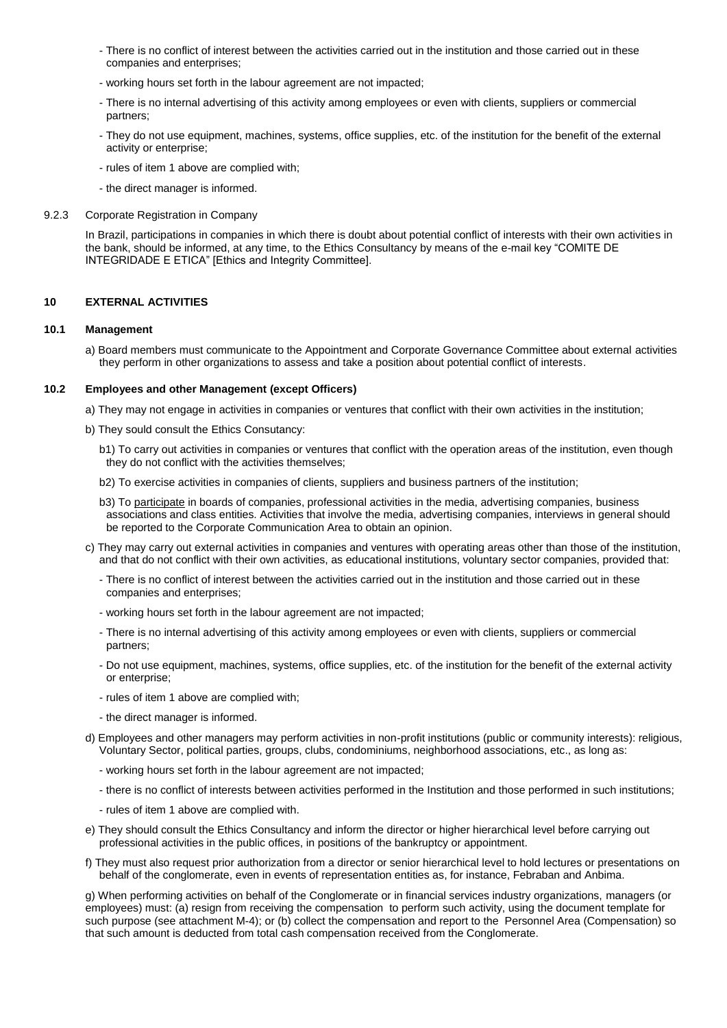- There is no conflict of interest between the activities carried out in the institution and those carried out in these companies and enterprises;
- working hours set forth in the labour agreement are not impacted;
- There is no internal advertising of this activity among employees or even with clients, suppliers or commercial partners;
- They do not use equipment, machines, systems, office supplies, etc. of the institution for the benefit of the external activity or enterprise;
- rules of item 1 above are complied with;
- the direct manager is informed.

#### 9.2.3 Corporate Registration in Company

In Brazil, participations in companies in which there is doubt about potential conflict of interests with their own activities in the bank, should be informed, at any time, to the Ethics Consultancy by means of the e-mail key "COMITE DE INTEGRIDADE E ETICA" [Ethics and Integrity Committee].

## **10 EXTERNAL ACTIVITIES**

#### **10.1 Management**

a) Board members must communicate to the Appointment and Corporate Governance Committee about external activities they perform in other organizations to assess and take a position about potential conflict of interests.

#### **10.2 Employees and other Management (except Officers)**

a) They may not engage in activities in companies or ventures that conflict with their own activities in the institution;

- b) They sould consult the Ethics Consutancy:
	- b1) To carry out activities in companies or ventures that conflict with the operation areas of the institution, even though they do not conflict with the activities themselves;
	- b2) To exercise activities in companies of clients, suppliers and business partners of the institution;

b3) To participate in boards of companies, professional activities in the media, advertising companies, business associations and class entities. Activities that involve the media, advertising companies, interviews in general should be reported to the Corporate Communication Area to obtain an opinion.

- c) They may carry out external activities in companies and ventures with operating areas other than those of the institution, and that do not conflict with their own activities, as educational institutions, voluntary sector companies, provided that:
	- There is no conflict of interest between the activities carried out in the institution and those carried out in these companies and enterprises;
	- working hours set forth in the labour agreement are not impacted;
	- There is no internal advertising of this activity among employees or even with clients, suppliers or commercial partners;
	- Do not use equipment, machines, systems, office supplies, etc. of the institution for the benefit of the external activity or enterprise;
	- rules of item 1 above are complied with;
	- the direct manager is informed.
- d) Employees and other managers may perform activities in non-profit institutions (public or community interests): religious, Voluntary Sector, political parties, groups, clubs, condominiums, neighborhood associations, etc., as long as:
	- working hours set forth in the labour agreement are not impacted;
	- there is no conflict of interests between activities performed in the Institution and those performed in such institutions;
	- rules of item 1 above are complied with.
- e) They should consult the Ethics Consultancy and inform the director or higher hierarchical level before carrying out professional activities in the public offices, in positions of the bankruptcy or appointment.
- f) They must also request prior authorization from a director or senior hierarchical level to hold lectures or presentations on behalf of the conglomerate, even in events of representation entities as, for instance, Febraban and Anbima.

g) When performing activities on behalf of the Conglomerate or in financial services industry organizations, managers (or employees) must: (a) resign from receiving the compensation to perform such activity, using the document template for such purpose (see attachment M-4); or (b) collect the compensation and report to the Personnel Area (Compensation) so that such amount is deducted from total cash compensation received from the Conglomerate.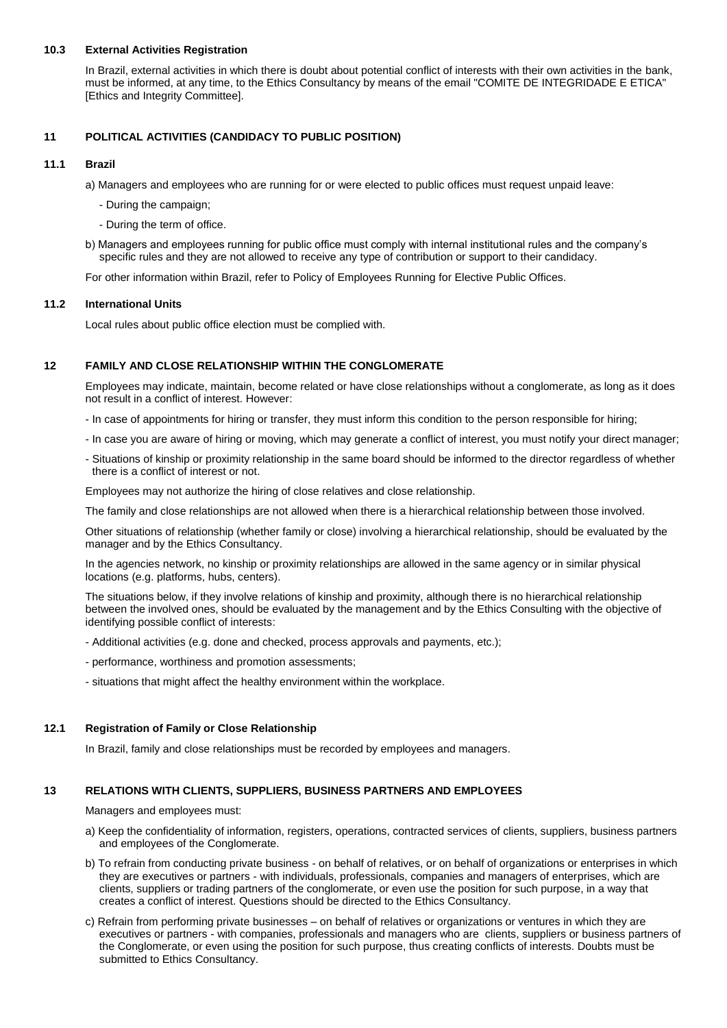## **10.3 External Activities Registration**

In Brazil, external activities in which there is doubt about potential conflict of interests with their own activities in the bank, must be informed, at any time, to the Ethics Consultancy by means of the email "COMITE DE INTEGRIDADE E ETICA" [Ethics and Integrity Committee].

## **11 POLITICAL ACTIVITIES (CANDIDACY TO PUBLIC POSITION)**

## **11.1 Brazil**

a) Managers and employees who are running for or were elected to public offices must request unpaid leave:

- During the campaign;
- During the term of office.
- b) Managers and employees running for public office must comply with internal institutional rules and the company's specific rules and they are not allowed to receive any type of contribution or support to their candidacy.

For other information within Brazil, refer to Policy of Employees Running for Elective Public Offices.

#### **11.2 International Units**

Local rules about public office election must be complied with.

#### **12 FAMILY AND CLOSE RELATIONSHIP WITHIN THE CONGLOMERATE**

Employees may indicate, maintain, become related or have close relationships without a conglomerate, as long as it does not result in a conflict of interest. However:

- In case of appointments for hiring or transfer, they must inform this condition to the person responsible for hiring;
- In case you are aware of hiring or moving, which may generate a conflict of interest, you must notify your direct manager;
- Situations of kinship or proximity relationship in the same board should be informed to the director regardless of whether there is a conflict of interest or not.

Employees may not authorize the hiring of close relatives and close relationship.

The family and close relationships are not allowed when there is a hierarchical relationship between those involved.

Other situations of relationship (whether family or close) involving a hierarchical relationship, should be evaluated by the manager and by the Ethics Consultancy.

In the agencies network, no kinship or proximity relationships are allowed in the same agency or in similar physical locations (e.g. platforms, hubs, centers).

The situations below, if they involve relations of kinship and proximity, although there is no hierarchical relationship between the involved ones, should be evaluated by the management and by the Ethics Consulting with the objective of identifying possible conflict of interests:

- Additional activities (e.g. done and checked, process approvals and payments, etc.);
- performance, worthiness and promotion assessments;
- situations that might affect the healthy environment within the workplace.

#### **12.1 Registration of Family or Close Relationship**

In Brazil, family and close relationships must be recorded by employees and managers.

# **13 RELATIONS WITH CLIENTS, SUPPLIERS, BUSINESS PARTNERS AND EMPLOYEES**

Managers and employees must:

- a) Keep the confidentiality of information, registers, operations, contracted services of clients, suppliers, business partners and employees of the Conglomerate.
- b) To refrain from conducting private business on behalf of relatives, or on behalf of organizations or enterprises in which they are executives or partners - with individuals, professionals, companies and managers of enterprises, which are clients, suppliers or trading partners of the conglomerate, or even use the position for such purpose, in a way that creates a conflict of interest. Questions should be directed to the Ethics Consultancy.
- c) Refrain from performing private businesses on behalf of relatives or organizations or ventures in which they are executives or partners - with companies, professionals and managers who are clients, suppliers or business partners of the Conglomerate, or even using the position for such purpose, thus creating conflicts of interests. Doubts must be submitted to Ethics Consultancy.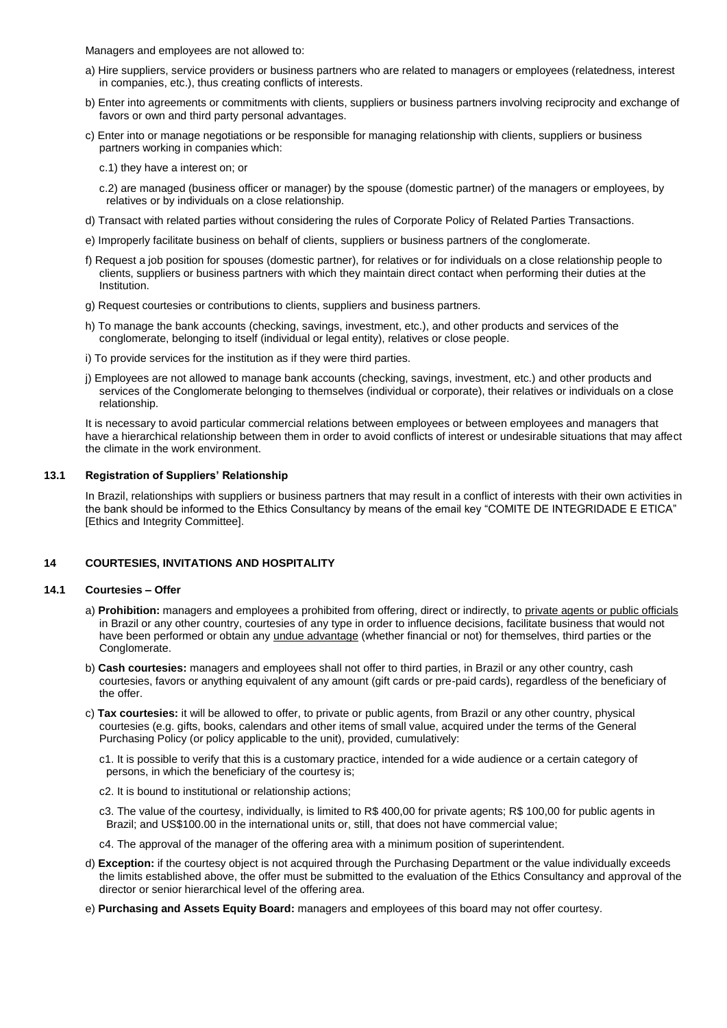Managers and employees are not allowed to:

- a) Hire suppliers, service providers or business partners who are related to managers or employees (relatedness, interest in companies, etc.), thus creating conflicts of interests.
- b) Enter into agreements or commitments with clients, suppliers or business partners involving reciprocity and exchange of favors or own and third party personal advantages.
- c) Enter into or manage negotiations or be responsible for managing relationship with clients, suppliers or business partners working in companies which:
	- c.1) they have a interest on; or
	- c.2) are managed (business officer or manager) by the spouse (domestic partner) of the managers or employees, by relatives or by individuals on a close relationship.
- d) Transact with related parties without considering the rules of Corporate Policy of Related Parties Transactions.
- e) Improperly facilitate business on behalf of clients, suppliers or business partners of the conglomerate.
- f) Request a job position for spouses (domestic partner), for relatives or for individuals on a close relationship people to clients, suppliers or business partners with which they maintain direct contact when performing their duties at the Institution.
- g) Request courtesies or contributions to clients, suppliers and business partners.
- h) To manage the bank accounts (checking, savings, investment, etc.), and other products and services of the conglomerate, belonging to itself (individual or legal entity), relatives or close people.
- i) To provide services for the institution as if they were third parties.
- j) Employees are not allowed to manage bank accounts (checking, savings, investment, etc.) and other products and services of the Conglomerate belonging to themselves (individual or corporate), their relatives or individuals on a close relationship.

It is necessary to avoid particular commercial relations between employees or between employees and managers that have a hierarchical relationship between them in order to avoid conflicts of interest or undesirable situations that may affect the climate in the work environment.

## **13.1 Registration of Suppliers' Relationship**

In Brazil, relationships with suppliers or business partners that may result in a conflict of interests with their own activities in the bank should be informed to the Ethics Consultancy by means of the email key "COMITE DE INTEGRIDADE E ETICA" [Ethics and Integrity Committee].

## **14 COURTESIES, INVITATIONS AND HOSPITALITY**

## **14.1 Courtesies – Offer**

- a) **Prohibition:** managers and employees a prohibited from offering, direct or indirectly, to private agents or public officials in Brazil or any other country, courtesies of any type in order to influence decisions, facilitate business that would not have been performed or obtain any undue advantage (whether financial or not) for themselves, third parties or the Conglomerate.
- b) **Cash courtesies:** managers and employees shall not offer to third parties, in Brazil or any other country, cash courtesies, favors or anything equivalent of any amount (gift cards or pre-paid cards), regardless of the beneficiary of the offer.
- c) **Tax courtesies:** it will be allowed to offer, to private or public agents, from Brazil or any other country, physical courtesies (e.g. gifts, books, calendars and other items of small value, acquired under the terms of the General Purchasing Policy (or policy applicable to the unit), provided, cumulatively:
	- c1. It is possible to verify that this is a customary practice, intended for a wide audience or a certain category of persons, in which the beneficiary of the courtesy is;
	- c2. It is bound to institutional or relationship actions;
	- c3. The value of the courtesy, individually, is limited to R\$ 400,00 for private agents; R\$ 100,00 for public agents in Brazil; and US\$100.00 in the international units or, still, that does not have commercial value;
	- c4. The approval of the manager of the offering area with a minimum position of superintendent.
- d) **Exception:** if the courtesy object is not acquired through the Purchasing Department or the value individually exceeds the limits established above, the offer must be submitted to the evaluation of the Ethics Consultancy and approval of the director or senior hierarchical level of the offering area.
- e) **Purchasing and Assets Equity Board:** managers and employees of this board may not offer courtesy.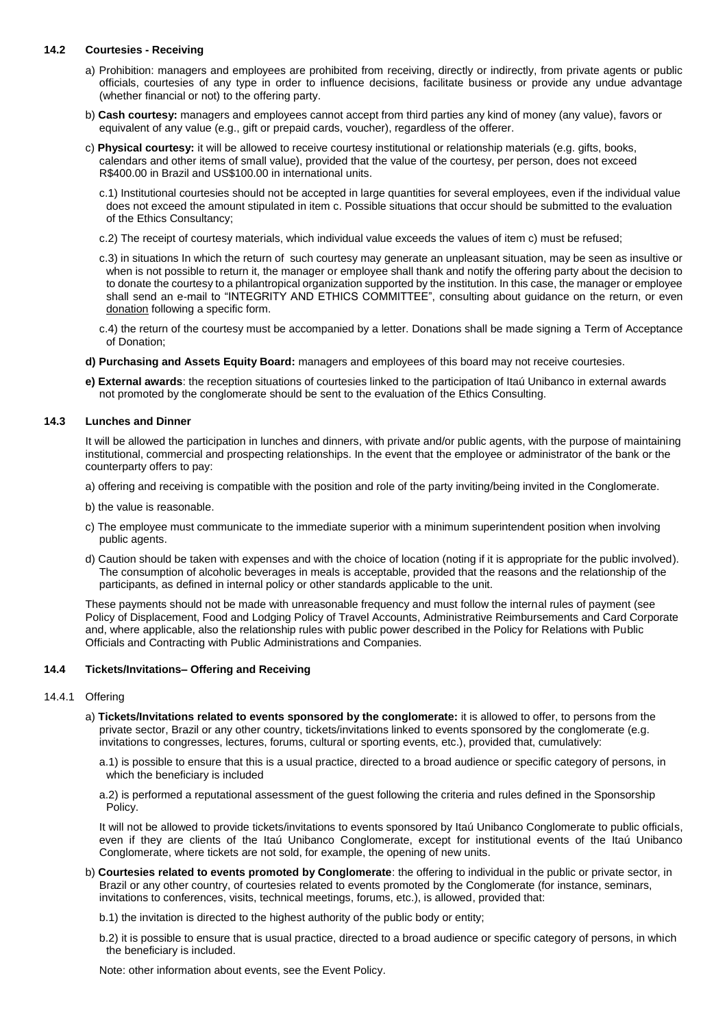## **14.2 Courtesies - Receiving**

- a) Prohibition: managers and employees are prohibited from receiving, directly or indirectly, from private agents or public officials, courtesies of any type in order to influence decisions, facilitate business or provide any undue advantage (whether financial or not) to the offering party.
- b) **Cash courtesy:** managers and employees cannot accept from third parties any kind of money (any value), favors or equivalent of any value (e.g., gift or prepaid cards, voucher), regardless of the offerer.
- c) **Physical courtesy:** it will be allowed to receive courtesy institutional or relationship materials (e.g. gifts, books, calendars and other items of small value), provided that the value of the courtesy, per person, does not exceed R\$400.00 in Brazil and US\$100.00 in international units.
	- c.1) Institutional courtesies should not be accepted in large quantities for several employees, even if the individual value does not exceed the amount stipulated in item c. Possible situations that occur should be submitted to the evaluation of the Ethics Consultancy;
	- c.2) The receipt of courtesy materials, which individual value exceeds the values of item c) must be refused;
	- c.3) in situations In which the return of such courtesy may generate an unpleasant situation, may be seen as insultive or when is not possible to return it, the manager or employee shall thank and notify the offering party about the decision to to donate the courtesy to a philantropical organization supported by the institution. In this case, the manager or employee shall send an e-mail to "INTEGRITY AND ETHICS COMMITTEE", consulting about guidance on the return, or even donation following a specific form.
	- c.4) the return of the courtesy must be accompanied by a letter. Donations shall be made signing a Term of Acceptance of Donation;
- **d) Purchasing and Assets Equity Board:** managers and employees of this board may not receive courtesies.
- **e) External awards**: the reception situations of courtesies linked to the participation of Itaú Unibanco in external awards not promoted by the conglomerate should be sent to the evaluation of the Ethics Consulting.

## **14.3 Lunches and Dinner**

It will be allowed the participation in lunches and dinners, with private and/or public agents, with the purpose of maintaining institutional, commercial and prospecting relationships. In the event that the employee or administrator of the bank or the counterparty offers to pay:

- a) offering and receiving is compatible with the position and role of the party inviting/being invited in the Conglomerate.
- b) the value is reasonable.
- c) The employee must communicate to the immediate superior with a minimum superintendent position when involving public agents.
- d) Caution should be taken with expenses and with the choice of location (noting if it is appropriate for the public involved). The consumption of alcoholic beverages in meals is acceptable, provided that the reasons and the relationship of the participants, as defined in internal policy or other standards applicable to the unit.

These payments should not be made with unreasonable frequency and must follow the internal rules of payment (see Policy of Displacement, Food and Lodging Policy of Travel Accounts, Administrative Reimbursements and Card Corporate and, where applicable, also the relationship rules with public power described in the Policy for Relations with Public Officials and Contracting with Public Administrations and Companies.

## **14.4 Tickets/Invitations– Offering and Receiving**

## 14.4.1 Offering

- a) **Tickets/Invitations related to events sponsored by the conglomerate:** it is allowed to offer, to persons from the private sector, Brazil or any other country, tickets/invitations linked to events sponsored by the conglomerate (e.g. invitations to congresses, lectures, forums, cultural or sporting events, etc.), provided that, cumulatively:
	- a.1) is possible to ensure that this is a usual practice, directed to a broad audience or specific category of persons, in which the beneficiary is included
	- a.2) is performed a reputational assessment of the guest following the criteria and rules defined in the Sponsorship Policy.

It will not be allowed to provide tickets/invitations to events sponsored by Itaú Unibanco Conglomerate to public officials, even if they are clients of the Itaú Unibanco Conglomerate, except for institutional events of the Itaú Unibanco Conglomerate, where tickets are not sold, for example, the opening of new units.

- b) **Courtesies related to events promoted by Conglomerate**: the offering to individual in the public or private sector, in Brazil or any other country, of courtesies related to events promoted by the Conglomerate (for instance, seminars, invitations to conferences, visits, technical meetings, forums, etc.), is allowed, provided that:
	- b.1) the invitation is directed to the highest authority of the public body or entity;
	- b.2) it is possible to ensure that is usual practice, directed to a broad audience or specific category of persons, in which the beneficiary is included.

Note: other information about events, see the Event Policy.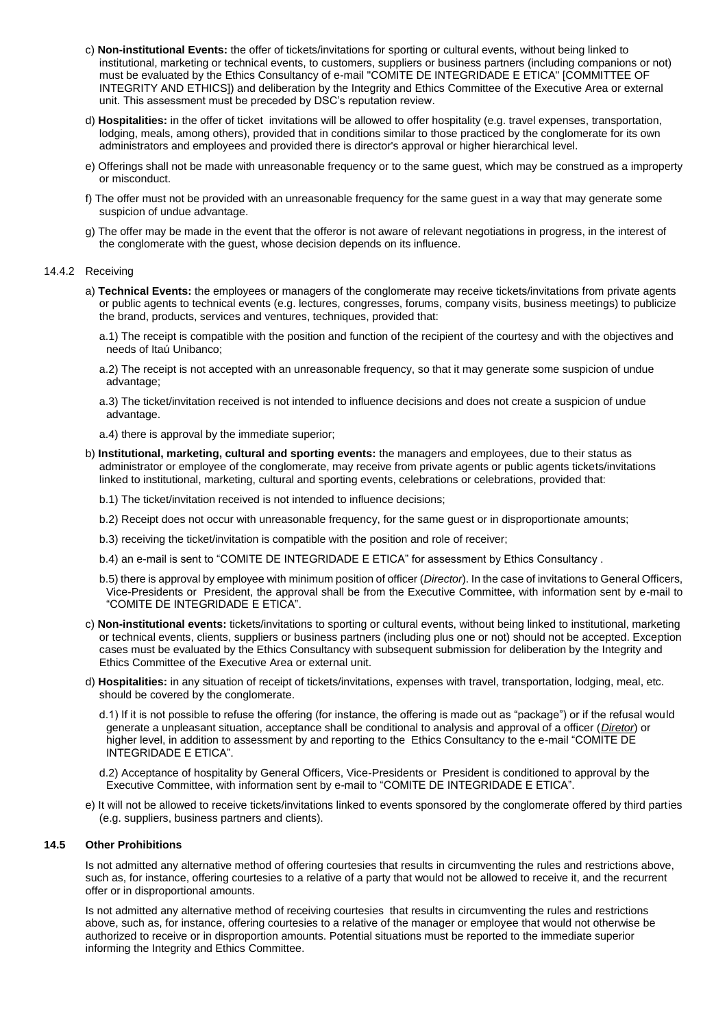- c) **Non-institutional Events:** the offer of tickets/invitations for sporting or cultural events, without being linked to institutional, marketing or technical events, to customers, suppliers or business partners (including companions or not) must be evaluated by the Ethics Consultancy of e-mail "COMITE DE INTEGRIDADE E ETICA" [COMMITTEE OF INTEGRITY AND ETHICS]) and deliberation by the Integrity and Ethics Committee of the Executive Area or external unit. This assessment must be preceded by DSC's reputation review.
- d) **Hospitalities:** in the offer of ticket invitations will be allowed to offer hospitality (e.g. travel expenses, transportation, lodging, meals, among others), provided that in conditions similar to those practiced by the conglomerate for its own administrators and employees and provided there is director's approval or higher hierarchical level.
- e) Offerings shall not be made with unreasonable frequency or to the same guest, which may be construed as a improperty or misconduct.
- f) The offer must not be provided with an unreasonable frequency for the same guest in a way that may generate some suspicion of undue advantage.
- g) The offer may be made in the event that the offeror is not aware of relevant negotiations in progress, in the interest of the conglomerate with the guest, whose decision depends on its influence.

#### 14.4.2 Receiving

- a) **Technical Events:** the employees or managers of the conglomerate may receive tickets/invitations from private agents or public agents to technical events (e.g. lectures, congresses, forums, company visits, business meetings) to publicize the brand, products, services and ventures, techniques, provided that:
	- a.1) The receipt is compatible with the position and function of the recipient of the courtesy and with the objectives and needs of Itaú Unibanco;
	- a.2) The receipt is not accepted with an unreasonable frequency, so that it may generate some suspicion of undue advantage;
	- a.3) The ticket/invitation received is not intended to influence decisions and does not create a suspicion of undue advantage.
	- a.4) there is approval by the immediate superior;
- b) **Institutional, marketing, cultural and sporting events:** the managers and employees, due to their status as administrator or employee of the conglomerate, may receive from private agents or public agents tickets/invitations linked to institutional, marketing, cultural and sporting events, celebrations or celebrations, provided that:
	- b.1) The ticket/invitation received is not intended to influence decisions;
	- b.2) Receipt does not occur with unreasonable frequency, for the same guest or in disproportionate amounts;
	- b.3) receiving the ticket/invitation is compatible with the position and role of receiver;
	- b.4) an e-mail is sent to "COMITE DE INTEGRIDADE E ETICA" for assessment by Ethics Consultancy.
	- b.5) there is approval by employee with minimum position of officer (*Director*). In the case of invitations to General Officers, Vice-Presidents or President, the approval shall be from the Executive Committee, with information sent by e-mail to "COMITE DE INTEGRIDADE E ETICA".
- c) **Non-institutional events:** tickets/invitations to sporting or cultural events, without being linked to institutional, marketing or technical events, clients, suppliers or business partners (including plus one or not) should not be accepted. Exception cases must be evaluated by the Ethics Consultancy with subsequent submission for deliberation by the Integrity and Ethics Committee of the Executive Area or external unit.
- d) **Hospitalities:** in any situation of receipt of tickets/invitations, expenses with travel, transportation, lodging, meal, etc. should be covered by the conglomerate.
	- d.1) If it is not possible to refuse the offering (for instance, the offering is made out as "package") or if the refusal would generate a unpleasant situation, acceptance shall be conditional to analysis and approval of a officer (*Diretor*) or higher level, in addition to assessment by and reporting to the Ethics Consultancy to the e-mail "COMITE DE INTEGRIDADE E ETICA".
	- d.2) Acceptance of hospitality by General Officers, Vice-Presidents or President is conditioned to approval by the Executive Committee, with information sent by e-mail to "COMITE DE INTEGRIDADE E ETICA".
- e) It will not be allowed to receive tickets/invitations linked to events sponsored by the conglomerate offered by third parties (e.g. suppliers, business partners and clients).

## **14.5 Other Prohibitions**

Is not admitted any alternative method of offering courtesies that results in circumventing the rules and restrictions above, such as, for instance, offering courtesies to a relative of a party that would not be allowed to receive it, and the recurrent offer or in disproportional amounts.

Is not admitted any alternative method of receiving courtesies that results in circumventing the rules and restrictions above, such as, for instance, offering courtesies to a relative of the manager or employee that would not otherwise be authorized to receive or in disproportion amounts. Potential situations must be reported to the immediate superior informing the Integrity and Ethics Committee.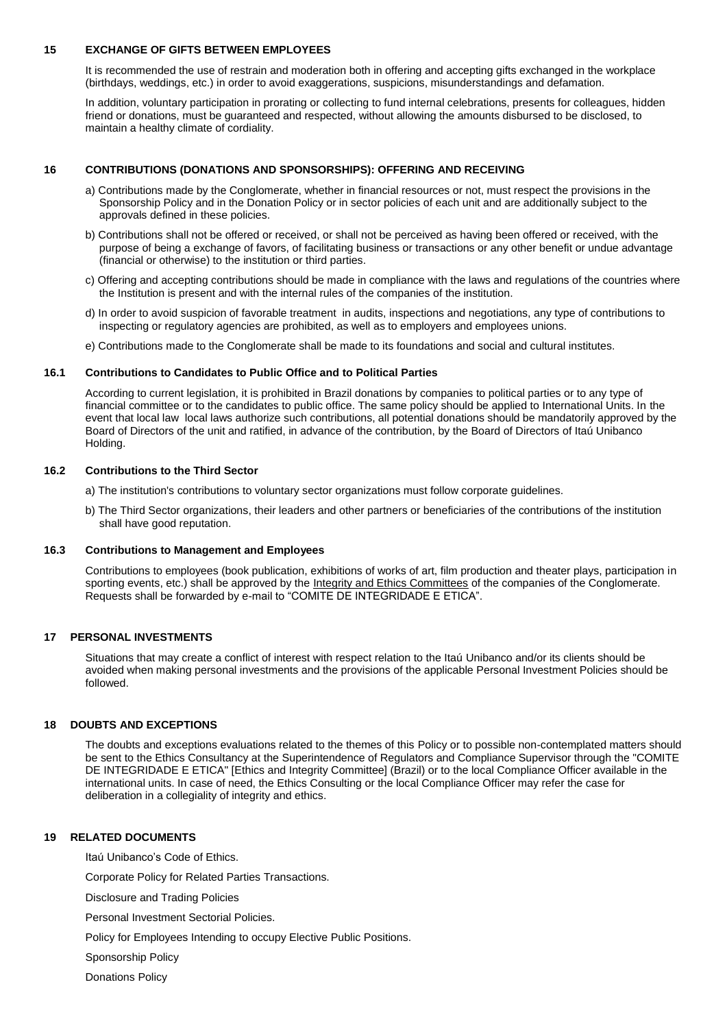#### **15 EXCHANGE OF GIFTS BETWEEN EMPLOYEES**

It is recommended the use of restrain and moderation both in offering and accepting gifts exchanged in the workplace (birthdays, weddings, etc.) in order to avoid exaggerations, suspicions, misunderstandings and defamation.

In addition, voluntary participation in prorating or collecting to fund internal celebrations, presents for colleagues, hidden friend or donations, must be guaranteed and respected, without allowing the amounts disbursed to be disclosed, to maintain a healthy climate of cordiality.

## **16 CONTRIBUTIONS (DONATIONS AND SPONSORSHIPS): OFFERING AND RECEIVING**

- a) Contributions made by the Conglomerate, whether in financial resources or not, must respect the provisions in the Sponsorship Policy and in the Donation Policy or in sector policies of each unit and are additionally subject to the approvals defined in these policies.
- b) Contributions shall not be offered or received, or shall not be perceived as having been offered or received, with the purpose of being a exchange of favors, of facilitating business or transactions or any other benefit or undue advantage (financial or otherwise) to the institution or third parties.
- c) Offering and accepting contributions should be made in compliance with the laws and regulations of the countries where the Institution is present and with the internal rules of the companies of the institution.
- d) In order to avoid suspicion of favorable treatment in audits, inspections and negotiations, any type of contributions to inspecting or regulatory agencies are prohibited, as well as to employers and employees unions.
- e) Contributions made to the Conglomerate shall be made to its foundations and social and cultural institutes.

#### **16.1 Contributions to Candidates to Public Office and to Political Parties**

According to current legislation, it is prohibited in Brazil donations by companies to political parties or to any type of financial committee or to the candidates to public office. The same policy should be applied to International Units. In the event that local law local laws authorize such contributions, all potential donations should be mandatorily approved by the Board of Directors of the unit and ratified, in advance of the contribution, by the Board of Directors of Itaú Unibanco Holding.

#### **16.2 Contributions to the Third Sector**

- a) The institution's contributions to voluntary sector organizations must follow corporate guidelines.
- b) The Third Sector organizations, their leaders and other partners or beneficiaries of the contributions of the institution shall have good reputation.

## **16.3 Contributions to Management and Employees**

Contributions to employees (book publication, exhibitions of works of art, film production and theater plays, participation in sporting events, etc.) shall be approved by the Integrity and Ethics Committees of the companies of the Conglomerate. Requests shall be forwarded by e-mail to "COMITE DE INTEGRIDADE E ETICA".

## **17 PERSONAL INVESTMENTS**

Situations that may create a conflict of interest with respect relation to the Itaú Unibanco and/or its clients should be avoided when making personal investments and the provisions of the applicable Personal Investment Policies should be followed.

## **18 DOUBTS AND EXCEPTIONS**

The doubts and exceptions evaluations related to the themes of this Policy or to possible non-contemplated matters should be sent to the Ethics Consultancy at the Superintendence of Regulators and Compliance Supervisor through the "COMITE DE INTEGRIDADE E ETICA" [Ethics and Integrity Committee] (Brazil) or to the local Compliance Officer available in the international units. In case of need, the Ethics Consulting or the local Compliance Officer may refer the case for deliberation in a collegiality of integrity and ethics.

## **19 RELATED DOCUMENTS**

Itaú Unibanco's Code of Ethics.

Corporate Policy for Related Parties Transactions.

Disclosure and Trading Policies

Personal Investment Sectorial Policies.

Policy for Employees Intending to occupy Elective Public Positions.

Sponsorship Policy

Donations Policy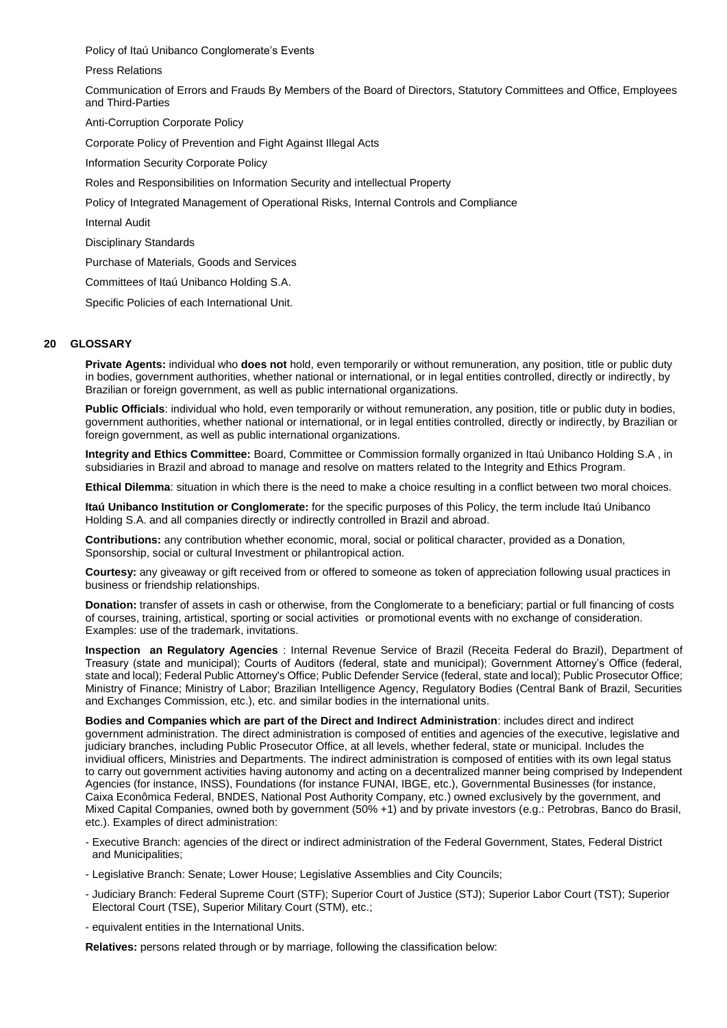Policy of Itaú Unibanco Conglomerate's Events

Press Relations

Communication of Errors and Frauds By Members of the Board of Directors, Statutory Committees and Office, Employees and Third-Parties

Anti-Corruption Corporate Policy

Corporate Policy of Prevention and Fight Against Illegal Acts

Information Security Corporate Policy

Roles and Responsibilities on Information Security and intellectual Property

Policy of Integrated Management of Operational Risks, Internal Controls and Compliance

Internal Audit

Disciplinary Standards

Purchase of Materials, Goods and Services

Committees of Itaú Unibanco Holding S.A.

Specific Policies of each International Unit.

## **20 GLOSSARY**

**Private Agents:** individual who **does not** hold, even temporarily or without remuneration, any position, title or public duty in bodies, government authorities, whether national or international, or in legal entities controlled, directly or indirectly, by Brazilian or foreign government, as well as public international organizations.

**Public Officials**: individual who hold, even temporarily or without remuneration, any position, title or public duty in bodies, government authorities, whether national or international, or in legal entities controlled, directly or indirectly, by Brazilian or foreign government, as well as public international organizations.

**Integrity and Ethics Committee:** Board, Committee or Commission formally organized in Itaú Unibanco Holding S.A , in subsidiaries in Brazil and abroad to manage and resolve on matters related to the Integrity and Ethics Program.

**Ethical Dilemma**: situation in which there is the need to make a choice resulting in a conflict between two moral choices.

**Itaú Unibanco Institution or Conglomerate:** for the specific purposes of this Policy, the term include Itaú Unibanco Holding S.A. and all companies directly or indirectly controlled in Brazil and abroad.

**Contributions:** any contribution whether economic, moral, social or political character, provided as a Donation, Sponsorship, social or cultural Investment or philantropical action.

**Courtesy:** any giveaway or gift received from or offered to someone as token of appreciation following usual practices in business or friendship relationships.

**Donation:** transfer of assets in cash or otherwise, from the Conglomerate to a beneficiary; partial or full financing of costs of courses, training, artistical, sporting or social activities or promotional events with no exchange of consideration. Examples: use of the trademark, invitations.

**Inspection an Regulatory Agencies** : Internal Revenue Service of Brazil (Receita Federal do Brazil), Department of Treasury (state and municipal); Courts of Auditors (federal, state and municipal); Government Attorney's Office (federal, state and local); Federal Public Attorney's Office; Public Defender Service (federal, state and local); Public Prosecutor Office; Ministry of Finance; Ministry of Labor; Brazilian Intelligence Agency, Regulatory Bodies (Central Bank of Brazil, Securities and Exchanges Commission, etc.), etc. and similar bodies in the international units.

**Bodies and Companies which are part of the Direct and Indirect Administration**: includes direct and indirect government administration. The direct administration is composed of entities and agencies of the executive, legislative and judiciary branches, including Public Prosecutor Office, at all levels, whether federal, state or municipal. Includes the invidiual officers, Ministries and Departments. The indirect administration is composed of entities with its own legal status to carry out government activities having autonomy and acting on a decentralized manner being comprised by Independent Agencies (for instance, INSS), Foundations (for instance FUNAI, IBGE, etc.), Governmental Businesses (for instance, Caixa Econômica Federal, BNDES, National Post Authority Company, etc.) owned exclusively by the government, and Mixed Capital Companies, owned both by government (50% +1) and by private investors (e.g.: Petrobras, Banco do Brasil, etc.). Examples of direct administration:

- Executive Branch: agencies of the direct or indirect administration of the Federal Government, States, Federal District and Municipalities;
- Legislative Branch: Senate; Lower House; Legislative Assemblies and City Councils;
- Judiciary Branch: Federal Supreme Court (STF); Superior Court of Justice (STJ); Superior Labor Court (TST); Superior Electoral Court (TSE), Superior Military Court (STM), etc.;
- equivalent entities in the International Units.

**Relatives:** persons related through or by marriage, following the classification below: